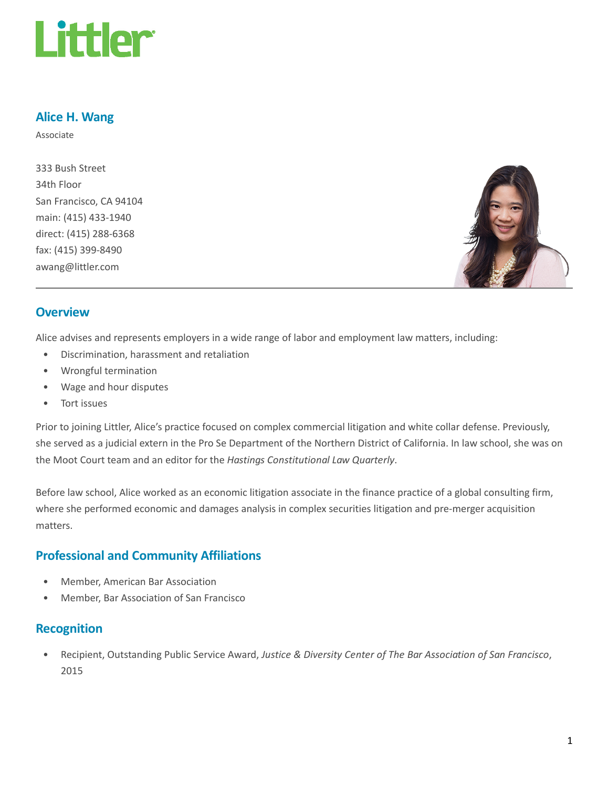

#### Alice H. Wang

Associate

333 Bush Street 34th Floor San Francisco, CA 94104 main: (415) 433-1940 direct: (415) 288-6368 fax: (415) 399-8490 awang@littler.com



#### **Overview**

Alice advises and represents employers in a wide range of labor and employment law matters, including:

- Discrimination, harassment and retaliation
- Wrongful termination
- Wage and hour disputes
- Tort issues

Prior to joining Littler, Alice's practice focused on complex commercial litigation and white collar defense. Previously, she served as a judicial extern in the Pro Se Department of the Northern District of California. In law school, she was on the Moot Court team and an editor for the Hastings Constitutional Law Quarterly.

Before law school, Alice worked as an economic litigation associate in the finance practice of a global consulting firm, where she performed economic and damages analysis in complex securities litigation and pre-merger acquisition matters.

#### Professional and Community Affiliations

- Member, American Bar Association
- Member, Bar Association of San Francisco

#### Recognition

• Recipient, Outstanding Public Service Award, Justice & Diversity Center of The Bar Association of San Francisco, 2015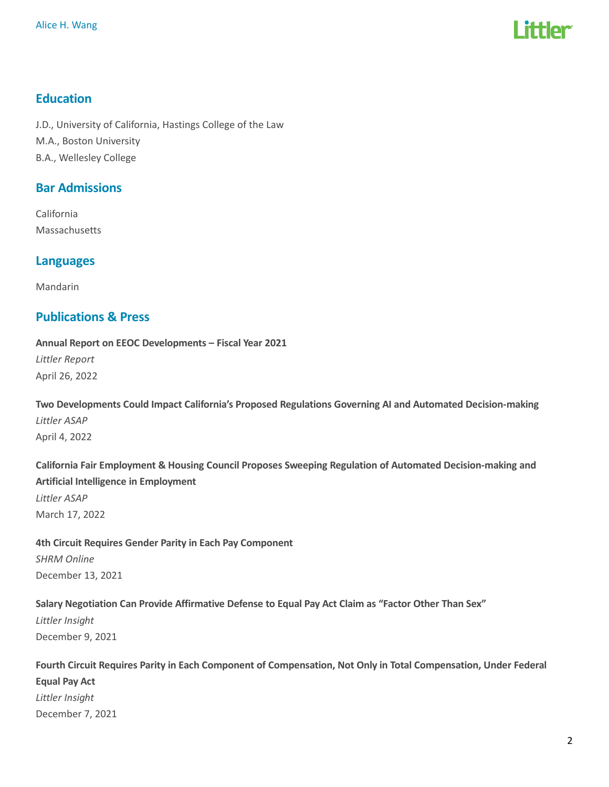

### Education

J.D., University of California, Hastings College of the Law M.A., Boston University B.A., Wellesley College

#### Bar Admissions

California Massachusetts

#### Languages

Mandarin

#### Publications & Press

Annual Report on EEOC Developments – Fiscal Year 2021

Littler Report April 26, 2022

Two Developments Could Impact California's Proposed Regulations Governing AI and Automated Decision-making Littler ASAP April 4, 2022

California Fair Employment & Housing Council Proposes Sweeping Regulation of Automated Decision-making and Artificial Intelligence in Employment Littler ASAP March 17, 2022

4th Circuit Requires Gender Parity in Each Pay Component SHRM Online December 13, 2021

Salary Negotiation Can Provide Affirmative Defense to Equal Pay Act Claim as "Factor Other Than Sex"

Littler Insight December 9, 2021

## Fourth Circuit Requires Parity in Each Component of Compensation, Not Only in Total Compensation, Under Federal Equal Pay Act Littler Insight December 7, 2021